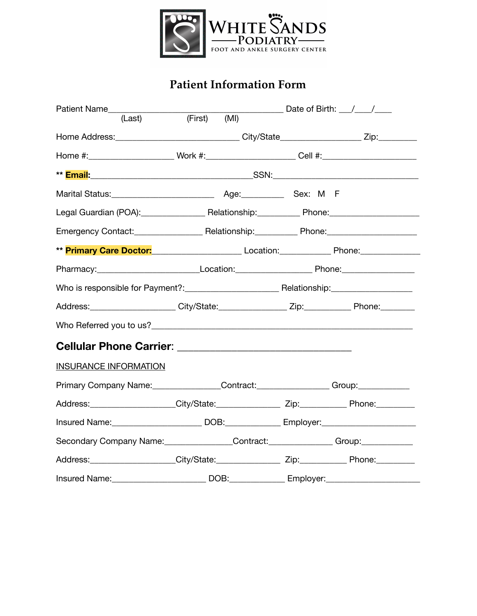

## **Patient Information Form**

| Patient Name____________                                                                                  |         |      |                                                                                                               | Date of Birth: $\frac{1}{\sqrt{1-\frac{1}{2}}}$ |  |
|-----------------------------------------------------------------------------------------------------------|---------|------|---------------------------------------------------------------------------------------------------------------|-------------------------------------------------|--|
| (Last)                                                                                                    | (First) | (MI) |                                                                                                               |                                                 |  |
|                                                                                                           |         |      |                                                                                                               |                                                 |  |
| Home #:________________________Work #:______________________Cell #:_________________________________      |         |      |                                                                                                               |                                                 |  |
|                                                                                                           |         |      |                                                                                                               |                                                 |  |
|                                                                                                           |         |      |                                                                                                               |                                                 |  |
| Legal Guardian (POA): Relationship: Phone: Phone:                                                         |         |      |                                                                                                               |                                                 |  |
|                                                                                                           |         |      | Emergency Contact: Canadian Control Relationship: Control Phone: Control Control Control Phone:               |                                                 |  |
| ** Primary Care Doctor: <u>__________________________</u> Location: ______________ Phone: _______________ |         |      |                                                                                                               |                                                 |  |
|                                                                                                           |         |      | Pharmacy: _______________________________Location: ______________________________ Phone: ____________________ |                                                 |  |
|                                                                                                           |         |      |                                                                                                               |                                                 |  |
| Address: _____________________City/State: ________________Zip: _____________Phone: _________              |         |      |                                                                                                               |                                                 |  |
|                                                                                                           |         |      |                                                                                                               |                                                 |  |
|                                                                                                           |         |      |                                                                                                               |                                                 |  |
| <b>INSURANCE INFORMATION</b>                                                                              |         |      |                                                                                                               |                                                 |  |
|                                                                                                           |         |      | Primary Company Name: Contract: Contract: Group: Group:                                                       |                                                 |  |
|                                                                                                           |         |      |                                                                                                               |                                                 |  |
|                                                                                                           |         |      |                                                                                                               |                                                 |  |
| Secondary Company Name: Contract: Contract: Group: Group:                                                 |         |      |                                                                                                               |                                                 |  |
|                                                                                                           |         |      |                                                                                                               |                                                 |  |
| Insured Name:                                                                                             |         |      |                                                                                                               |                                                 |  |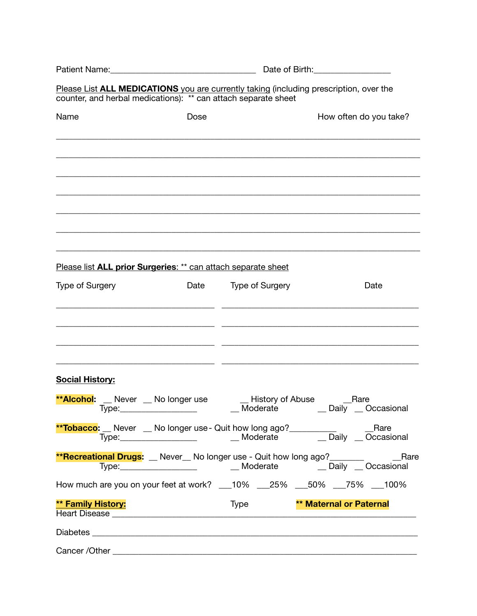|                                                                | Date of Birth: Date of Birth: |                                     |                                                                                                |  |  |
|----------------------------------------------------------------|-------------------------------|-------------------------------------|------------------------------------------------------------------------------------------------|--|--|
| counter, and herbal medications): ** can attach separate sheet |                               |                                     | Please List ALL MEDICATIONS you are currently taking (including prescription, over the         |  |  |
| Name                                                           | Dose                          |                                     | How often do you take?                                                                         |  |  |
|                                                                |                               |                                     |                                                                                                |  |  |
|                                                                |                               |                                     |                                                                                                |  |  |
|                                                                |                               |                                     |                                                                                                |  |  |
|                                                                |                               |                                     |                                                                                                |  |  |
|                                                                |                               |                                     |                                                                                                |  |  |
|                                                                |                               |                                     |                                                                                                |  |  |
| Please list ALL prior Surgeries: ** can attach separate sheet  |                               |                                     |                                                                                                |  |  |
| <b>Type of Surgery</b>                                         | Date                          | <b>Type of Surgery</b>              | Date                                                                                           |  |  |
|                                                                |                               |                                     |                                                                                                |  |  |
|                                                                |                               |                                     |                                                                                                |  |  |
|                                                                |                               |                                     |                                                                                                |  |  |
| <b>Social History:</b>                                         |                               |                                     |                                                                                                |  |  |
| <b>**Alcohol:</b> __ Never __ No longer use<br>Type:           |                               | <b>History of Abuse</b><br>Moderate | Rare<br>Daily<br>Occasional                                                                    |  |  |
|                                                                |                               |                                     |                                                                                                |  |  |
|                                                                |                               |                                     | <b>**Recreational Drugs:</b> L Never No longer use - Quit how long ago? <b>________</b> L Rare |  |  |
|                                                                |                               |                                     | How much are you on your feet at work? ___10% ___25% ___50% ___75% ___100%                     |  |  |
| ** Family History:                                             |                               | <b>Type</b>                         | <b>** Maternal or Paternal</b>                                                                 |  |  |
|                                                                |                               |                                     |                                                                                                |  |  |
|                                                                |                               |                                     |                                                                                                |  |  |